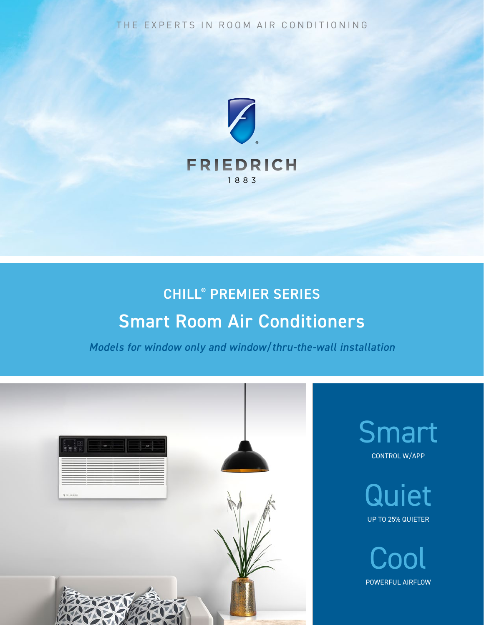THE EXPERTS IN ROOM AIR CONDITIONING



# CHILL® PREMIER SERIES Smart Room Air Conditioners

*Models for window only and window/thru-the-wall installation*

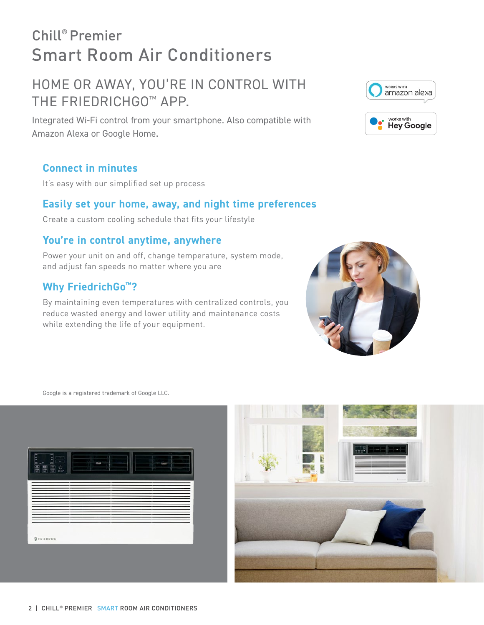# Chill® Premier Smart Room Air Conditioners

# HOME OR AWAY, YOU'RE IN CONTROL WITH THE FRIEDRICHGO™ APP.

Integrated Wi-Fi control from your smartphone. Also compatible with Amazon Alexa or Google Home.

# **Connect in minutes**

It's easy with our simplified set up process

## **Easily set your home, away, and night time preferences**

Create a custom cooling schedule that fits your lifestyle

# **You're in control anytime, anywhere**

Power your unit on and off, change temperature, system mode, and adjust fan speeds no matter where you are

# **Why FriedrichGo™?**

By maintaining even temperatures with centralized controls, you reduce wasted energy and lower utility and maintenance costs while extending the life of your equipment.

Google is a registered trademark of Google LLC.







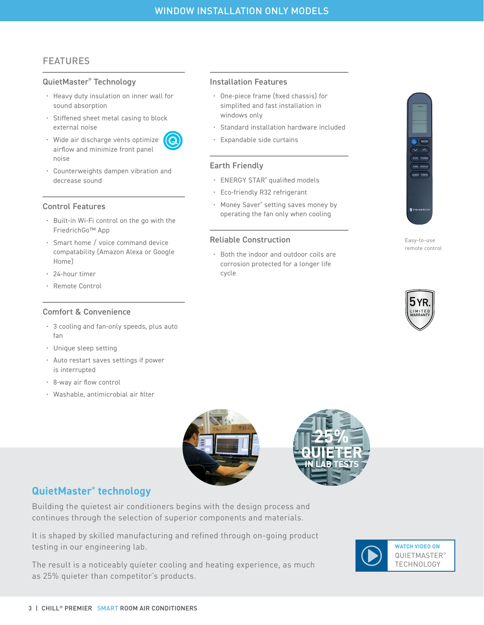Installation Features

• Expandable side curtains

Reliable Construction

cycle

• ENERGY STAR® qualified models • Eco-friendly R32 refrigerant

• Money Saver® setting saves money by operating the fan only when cooling

• Both the indoor and outdoor coils are corrosion protected for a longer life

windows only

Earth Friendly

• One-piece frame (fixed chassis) for simplified and fast installation in

• Standard installation hardware included

## FEATURES

#### QuietMaster® Technology

- Heavy duty insulation on inner wall for sound absorption
- Stiffened sheet metal casing to block external noise



- Wide air discharge vents optimize airflow and minimize front panel noise
- Counterweights dampen vibration and decrease sound

#### Control Features

- Built-in Wi-Fi control on the go with the FriedrichGo™ App
- Smart home / voice command device compatability (Amazon Alexa or Google Home)
- 24-hour timer
- Remote Control

#### Comfort & Convenience

- 3 cooling and fan-only speeds, plus auto fan
- Unique sleep setting
- Auto restart saves settings if power is interrupted
- 8-way air flow control
- Washable, antimicrobial air filter





## **QuietMaster® technology**

Building the quietest air conditioners begins with the design process and continues through the selection of superior components and materials.

It is shaped by skilled manufacturing and refined through on-going product testing in our engineering lab.

The result is a noticeably quieter cooling and heating experience, as much as 25% quieter than competitor's products.





Easy-to-use remote control

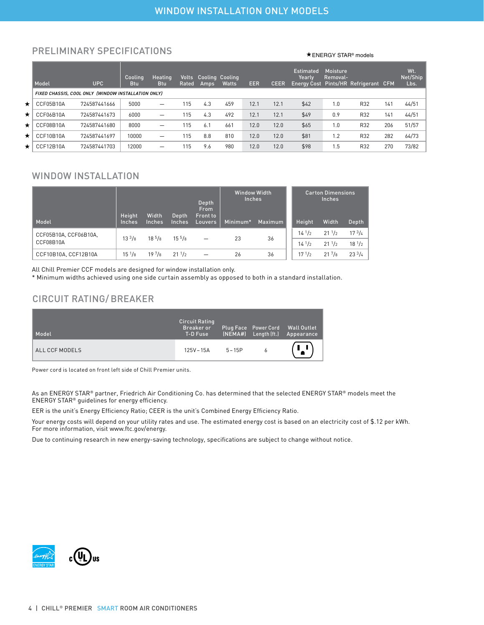## PRELIMINARY SPECIFICATIONS  $\star$  energy star® models

|     | Model     | <b>UPC</b>                                          | Coolina<br>Btu | Heating<br><b>Btu</b>    | Rated | <b>Volts</b> Cooling Cooling<br>Amps | Watts | <b>EER</b> | <b>CEER</b> | <b>Estimated</b><br>Yearlv<br><b>Energy Cost</b> | Moisture<br>Removal- | Pints/HR Refrigerant CFM |     | Wt.<br>Net/Ship<br>Lbs. |
|-----|-----------|-----------------------------------------------------|----------------|--------------------------|-------|--------------------------------------|-------|------------|-------------|--------------------------------------------------|----------------------|--------------------------|-----|-------------------------|
|     |           | FIXED CHASSIS, COOL ONLY (WINDOW INSTALLATION ONLY) |                |                          |       |                                      |       |            |             |                                                  |                      |                          |     |                         |
| ★!  | CCF05B10A | 724587441666                                        | 5000           | —                        | 115   | 4.3                                  | 459   | 12.1       | 12.1        | \$42                                             | 1.0                  | R32                      | 141 | 44/51                   |
| ★!  | CCF06B10A | 724587441673                                        | 6000           | —                        | 115   | 4.3                                  | 492   | 12.1       | 12.1        | \$49                                             | 0.9                  | R32                      | 141 | 44/51                   |
| ★ l | CCF08B10A | 724587441680                                        | 8000           | —                        | 115   | 6.1                                  | 661   | 12.0       | 12.0        | \$65                                             | 1.0                  | R32                      | 206 | 51/57                   |
| ★ l | CCF10B10A | 724587441697                                        | 10000          | $\overline{\phantom{0}}$ | 115   | 8.8                                  | 810   | 12.0       | 12.0        | \$81                                             | 1.2                  | R32                      | 282 | 64/73                   |
| ★ l | CCF12B10A | 724587441703                                        | 12000          | -                        | 115   | 9.6                                  | 980   | 12.0       | 12.0        | \$98                                             | 1.5                  | R32                      | 270 | 73/82                   |

#### WINDOW INSTALLATION

| Model                              | Height<br><b>Inches</b> | Width<br><b>Inches</b> | Depth<br><b>Inches</b> | Depth<br><b>From</b><br><b>Front to</b><br>Louvers | <b>Window Width</b><br><b>Inches</b><br>Maximum<br>Minimum* |    | Height                   | <b>Carton Dimensions</b><br><b>Inches</b><br>Width<br>Depth |                                  |
|------------------------------------|-------------------------|------------------------|------------------------|----------------------------------------------------|-------------------------------------------------------------|----|--------------------------|-------------------------------------------------------------|----------------------------------|
| CCF05B10A, CCF06B10A,<br>CCF08B10A | $13^{3}/8$              | $18^{5}/8$             | $15^{5}/8$             | -                                                  | 23                                                          | 36 | $14^{1/2}$<br>$14^{1/2}$ | $21 \frac{1}{2}$<br>$21 \frac{1}{2}$                        | 17 <sup>3</sup> /4<br>$18^{1/2}$ |
| CCF10B10A, CCF12B10A               | $15^{1/8}$              | $19\frac{7}{8}$        | 211/2                  | -                                                  | 26                                                          | 36 | 171/2                    | $21^{7}/8$                                                  | $23^{3}/4$                       |

All Chill Premier CCF models are designed for window installation only.

\* Minimum widths achieved using one side curtain assembly as opposed to both in a standard installation.

## CIRCUIT RATING/BREAKER

| Model          | Circuit Rating<br><b>Breaker</b> or<br>T-D Fuse |           | (NEMA#) Length (ft.) | Plug Face Power Cord Wall Outlet<br>Appearance |
|----------------|-------------------------------------------------|-----------|----------------------|------------------------------------------------|
| ALL CCF MODELS | 125V – 15A                                      | $5 - 15P$ |                      | $\mathbf{L}$                                   |

Power cord is located on front left side of Chill Premier units.

As an ENERGY STAR® partner, Friedrich Air Conditioning Co. has determined that the selected ENERGY STAR® models meet the ENERGY STAR® guidelines for energy efficiency.

EER is the unit's Energy Efficiency Ratio; CEER is the unit's Combined Energy Efficiency Ratio.

Your energy costs will depend on your utility rates and use. The estimated energy cost is based on an electricity cost of \$.12 per kWh. For more information, visit www.ftc.gov/energy.

Due to continuing research in new energy-saving technology, specifications are subject to change without notice.

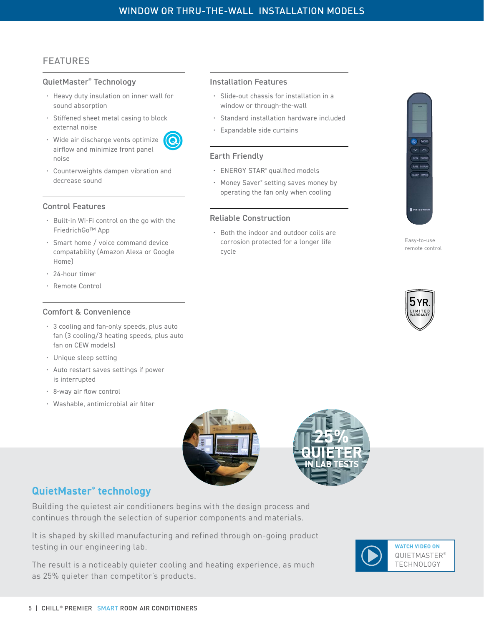Installation Features

• Expandable side curtains

Reliable Construction

• ENERGY STAR® qualified models • Money Saver® setting saves money by operating the fan only when cooling

• Both the indoor and outdoor coils are corrosion protected for a longer life

Earth Friendly

cycle

• Slide-out chassis for installation in a window or through-the-wall

• Standard installation hardware included

## FEATURES

#### QuietMaster® Technology

- Heavy duty insulation on inner wall for sound absorption
- Stiffened sheet metal casing to block external noise
- Wide air discharge vents optimize airflow and minimize front panel noise
- Counterweights dampen vibration and decrease sound

#### Control Features

- Built-in Wi-Fi control on the go with the FriedrichGo™ App
- Smart home / voice command device compatability (Amazon Alexa or Google Home)
- 24-hour timer
- Remote Control

#### Comfort & Convenience

- 3 cooling and fan-only speeds, plus auto fan (3 cooling/3 heating speeds, plus auto fan on CEW models)
- Unique sleep setting
- Auto restart saves settings if power is interrupted
- 8-way air flow control
- Washable, antimicrobial air filter





## **QuietMaster® technology**

Building the quietest air conditioners begins with the design process and continues through the selection of superior components and materials.

It is shaped by skilled manufacturing and refined through on-going product testing in our engineering lab.

The result is a noticeably quieter cooling and heating experience, as much as 25% quieter than competitor's products.







**ECO** TURBO FAN DISPLAT SLEEP. TIMER

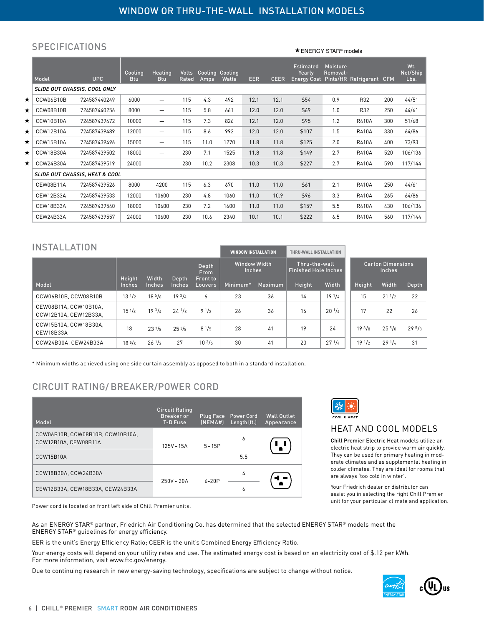#### **SPECIFICATIONS**

Model UPC Cooling Btu **Heating** Btu Volts Rated Cooling Amps Cooling Watts EER CEER Estimated Yearly Energy Cost Moisture Removal-Pints/HR Refrigerant CFM **Wt** Net/Ship Lbs. *SLIDE OUT CHASSIS, COOL ONLY*  ★ CCW06B10B 724587440249 6000 - 115 4.3 492 12.1 12.1 \$54 0.9 R32 200 44/51  $\star$  CCW08B10B 724587440256 8000 — 115 5.8 661 12.0 12.0 \$69 1.0 R32 250 44/61 CCW10B10A 724587439472 10000 — 115 7.3 826 12.1 12.0 \$95 1.2 R410A 300 51/68 ★ CCW12B10A 724587439489 | 12000 - 115 8.6 992 12.0 12.0 \$107 1.5 R410A 330 64/86 ★ CCW15B10A 724587439496 | 15000 - 115 11.0 1270 11.8 11.8 \$125 2.0 R410A 400 73/93 ★ CCW18B30A 724587439502 | 18000 - 230 7.1 1525 11.8 11.8 \$149 | 2.7 R410A 520 106/136 CCW24B30A 724587439519 24000 — 230 10.2 2308 10.3 10.3 \$227 2.7 R410A 590 117/144 *SLIDE OUT CHASSIS, HEAT & COOL* CEW08B11A 724587439526 8000 4200 115 6.3 670 11.0 11.0 \$61 2.1 R410A 250 44/61 CEW12B33A 724587439533 12000 10600 230 4.8 1060 11.0 10.9 \$96 3.3 R410A 265 64/86 CEW18B33A 724587439540 18000 10600 230 7.2 1600 11.0 11.0 \$159 5.5 R410A 430 106/136 CEW24B33A 724587439557 24000 10600 230 10.6 2340 10.1 10.1 \$222 6.5 R410A 560 117/144

### INSTAL LATION

|                                                | <b>WINDOW INSTALLATION</b>                       |                 | THRU-WALL INSTALLATION      |                               |          |                                              |        |                                           |            |                  |            |
|------------------------------------------------|--------------------------------------------------|-----------------|-----------------------------|-------------------------------|----------|----------------------------------------------|--------|-------------------------------------------|------------|------------------|------------|
|                                                | Depth<br><b>From</b><br>Width<br>Height<br>Depth |                 | Front to                    | Window Width<br><b>Inches</b> |          | Thru-the-wall<br><b>Finished Hole Inches</b> |        | <b>Carton Dimensions</b><br><b>Inches</b> |            |                  |            |
| Model                                          | <b>Inches</b>                                    | <b>Inches</b>   | <i><u><b>Inches</b></u></i> | Louvers                       | Minimum* | Maximum                                      | Height | Width                                     | Height     | Width            | Depth      |
| CCW06B10B. CCW08B10B                           | $13^{1/2}$                                       | $18^{5}/8$      | 19 <sup>3</sup> /4          | 6                             | 23       | 36                                           | 14     | 19 <sup>1</sup> / <sub>4</sub>            | 15         | $21 \frac{1}{2}$ | 22         |
| CEW08B11A, CCW10B10A,<br>CCW12B10A, CEW12B33A, | $15^{1/8}$                                       | $19^{3}/4$      | $24^{1/8}$                  | 91/2                          | 26       | 36                                           | 16     | $20^{11}/$                                | 17         | 22               | 26         |
| CCW15B10A. CCW18B30A.<br>CEW18B33A             | 18                                               | $23\frac{7}{8}$ | $25^{3}/8$                  | $8^{1/5}$                     | 28       | 41                                           | 19     | 24                                        | $19^{3}/8$ | $25^{5}/8$       | $29^{5}/8$ |
| CCW24B30A. CEW24B33A                           | $18\frac{5}{8}$                                  | $26^{1/2}$      | 27                          | $10^{3}/5$                    | 30       | 41                                           | 20     | $27^{1/4}$                                | $19^{1/2}$ | $29^{1/4}$       | 31         |

\* Minimum widths achieved using one side curtain assembly as opposed to both in a standard installation.

## CIRCUIT RATING/BREAKER/POWER CORD

| Model                                                    | <b>Circuit Rating</b><br><b>Breaker</b> or<br>T-D Fuse | Plug Face<br>(NEMA#) | <b>Power Cord</b><br>Length (ft.) | <b>Wall Outlet</b><br>Appearance |
|----------------------------------------------------------|--------------------------------------------------------|----------------------|-----------------------------------|----------------------------------|
| CCW06B10B. CCW08B10B. CCW10B10A.<br>CCW12B10A, CEW08B11A | $125V - 15A$                                           | $5 - 15P$            | 6                                 | $\mathbf{1}$                     |
| CCW15B10A                                                |                                                        |                      | 5.5                               |                                  |
| CCW18B30A, CCW24B30A                                     | $250V - 20A$                                           | $6 - 20P$            | 4                                 |                                  |
| CEW12B33A, CEW18B33A, CEW24B33A                          |                                                        |                      | 6                                 |                                  |

Power cord is located on front left side of Chill Premier units.

As an ENERGY STAR® partner, Friedrich Air Conditioning Co. has determined that the selected ENERGY STAR® models meet the ENERGY STAR® guidelines for energy efficiency.

EER is the unit's Energy Efficiency Ratio; CEER is the unit's Combined Energy Efficiency Ratio.

Your energy costs will depend on your utility rates and use. The estimated energy cost is based on an electricity cost of \$.12 per kWh. For more information, visit www.ftc.gov/energy.

Due to continuing research in new energy-saving technology, specifications are subject to change without notice.



**★ FNFRGY STAR<sup>®</sup> models** 

## HEAT AND COOL MODELS

Chill Premier Electric Heat models utilize an electric heat strip to provide warm air quickly. They can be used for primary heating in moderate climates and as supplemental heating in colder climates. They are ideal for rooms that are always 'too cold in winter'.

Your Friedrich dealer or distributor can assist you in selecting the right Chill Premier unit for your particular climate and application.